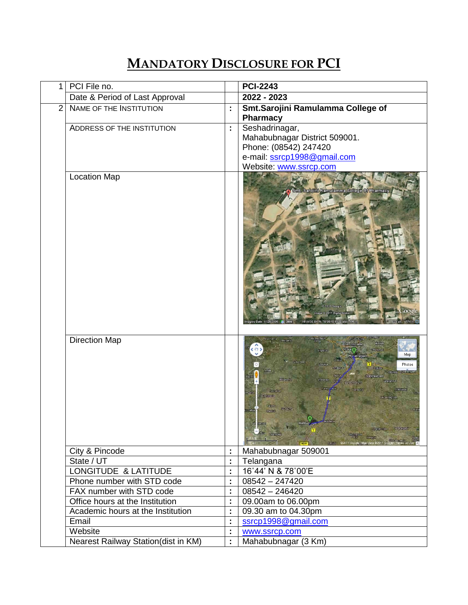## **MANDATORY DISCLOSURE FOR PCI**

| 1              | PCI File no.                        |    | <b>PCI-2243</b>                                                                                                                   |
|----------------|-------------------------------------|----|-----------------------------------------------------------------------------------------------------------------------------------|
|                | Date & Period of Last Approval      |    | 2022 - 2023                                                                                                                       |
| $\overline{2}$ | NAME OF THE INSTITUTION             | ÷  | Smt.Sarojini Ramulamma College of<br><b>Pharmacy</b>                                                                              |
|                | ADDRESS OF THE INSTITUTION          | ÷, | Seshadrinagar,<br>Mahabubnagar District 509001.<br>Phone: (08542) 247420<br>e-mail: ssrcp1998@gmail.com<br>Website: www.ssrcp.com |
|                | <b>Location Map</b>                 |    | Smt. Sarojini Ramulamma College Of Pharmacy                                                                                       |
|                | <b>Direction Map</b>                |    | Map<br>Photos<br>Mahbub<br>Devar kond.<br>Covers) @2011 Google                                                                    |
|                | City & Pincode                      | t  | Mahabubnagar 509001                                                                                                               |
|                | State / UT                          | ÷  | Telangana                                                                                                                         |
|                | LONGITUDE & LATITUDE                | t  | 16°44' N & 78°00'E                                                                                                                |
|                | Phone number with STD code          | Ì, | $08542 - 247420$                                                                                                                  |
|                | FAX number with STD code            | ÷  | $08542 - 246420$                                                                                                                  |
|                | Office hours at the Institution     |    | 09.00am to 06.00pm                                                                                                                |
|                | Academic hours at the Institution   | ċ, | 09.30 am to 04.30pm                                                                                                               |
|                | Email                               |    | ssrcp1998@gmail.com                                                                                                               |
|                | Website                             | t  | www.ssrcp.com                                                                                                                     |
|                | Nearest Railway Station(dist in KM) | ÷. | Mahabubnagar (3 Km)                                                                                                               |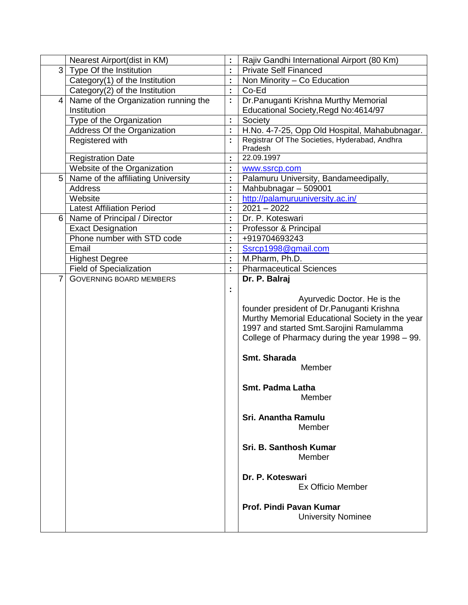|                | Nearest Airport(dist in KM)          |                | Rajiv Gandhi International Airport (80 Km)      |
|----------------|--------------------------------------|----------------|-------------------------------------------------|
| 3 <sup>1</sup> | Type Of the Institution              |                | <b>Private Self Financed</b>                    |
|                | Category(1) of the Institution       | t              | Non Minority - Co Education                     |
|                | Category(2) of the Institution       | t              | Co-Ed                                           |
| 4              | Name of the Organization running the | ÷,             | Dr. Panuganti Krishna Murthy Memorial           |
|                | Institution                          |                | Educational Society, Regd No: 4614/97           |
|                | Type of the Organization             | t              | Society                                         |
|                | Address Of the Organization          | ċ,             | H.No. 4-7-25, Opp Old Hospital, Mahabubnagar.   |
|                | Registered with                      | $\blacksquare$ | Registrar Of The Societies, Hyderabad, Andhra   |
|                |                                      |                | Pradesh                                         |
|                | <b>Registration Date</b>             | t              | 22.09.1997                                      |
|                | Website of the Organization          | t              | www.ssrcp.com                                   |
| 5 <sup>1</sup> | Name of the affiliating University   | ċ,             | Palamuru University, Bandameedipally,           |
|                | <b>Address</b>                       | t              | Mahbubnagar - 509001                            |
|                | Website                              | ċ,             | http://palamuruuniversity.ac.in/                |
|                | <b>Latest Affiliation Period</b>     | t              | $2021 - 2022$                                   |
| 6 <sup>1</sup> | Name of Principal / Director         | ×              | Dr. P. Koteswari                                |
|                | <b>Exact Designation</b>             | Ì,             | Professor & Principal                           |
|                | Phone number with STD code           | t              | +919704693243                                   |
|                | Email                                | t              | Ssrcp1998@gmail.com                             |
|                | <b>Highest Degree</b>                | ċ,             | M.Pharm, Ph.D.                                  |
|                | <b>Field of Specialization</b>       | t,             | <b>Pharmaceutical Sciences</b>                  |
| $\overline{7}$ | <b>GOVERNING BOARD MEMBERS</b>       |                | Dr. P. Balraj                                   |
|                |                                      | ÷              |                                                 |
|                |                                      |                | Ayurvedic Doctor. He is the                     |
|                |                                      |                | founder president of Dr. Panuganti Krishna      |
|                |                                      |                | Murthy Memorial Educational Society in the year |
|                |                                      |                | 1997 and started Smt. Sarojini Ramulamma        |
|                |                                      |                | College of Pharmacy during the year 1998 – 99.  |
|                |                                      |                |                                                 |
|                |                                      |                | Smt. Sharada                                    |
|                |                                      |                | Member                                          |
|                |                                      |                |                                                 |
|                |                                      |                | Smt. Padma Latha                                |
|                |                                      |                | Member                                          |
|                |                                      |                |                                                 |
|                |                                      |                | Sri. Anantha Ramulu                             |
|                |                                      |                | Member                                          |
|                |                                      |                |                                                 |
|                |                                      |                | Sri. B. Santhosh Kumar                          |
|                |                                      |                | Member                                          |
|                |                                      |                |                                                 |
|                |                                      |                | Dr. P. Koteswari                                |
|                |                                      |                | <b>Ex Officio Member</b>                        |
|                |                                      |                |                                                 |
|                |                                      |                | Prof. Pindi Pavan Kumar                         |
|                |                                      |                | <b>University Nominee</b>                       |
|                |                                      |                |                                                 |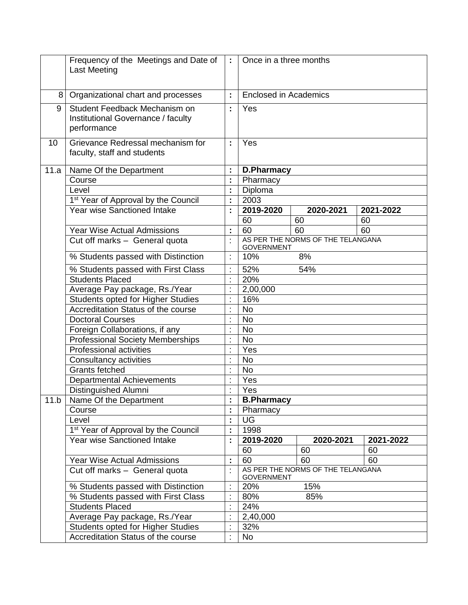|      | Frequency of the Meetings and Date of<br><b>Last Meeting</b>                       | $\mathcal{I}^{\pm}$ | Once in a three months       |                                   |           |
|------|------------------------------------------------------------------------------------|---------------------|------------------------------|-----------------------------------|-----------|
| 8    | Organizational chart and processes                                                 | ÷.                  | <b>Enclosed in Academics</b> |                                   |           |
| 9    | Student Feedback Mechanism on<br>Institutional Governance / faculty<br>performance | ÷                   | Yes                          |                                   |           |
| 10   | Grievance Redressal mechanism for<br>faculty, staff and students                   | ÷                   | Yes                          |                                   |           |
| 11.a | Name Of the Department                                                             |                     | <b>D.Pharmacy</b>            |                                   |           |
|      | Course                                                                             |                     | Pharmacy                     |                                   |           |
|      | Level                                                                              |                     | Diploma                      |                                   |           |
|      | 1 <sup>st</sup> Year of Approval by the Council                                    |                     | 2003                         |                                   |           |
|      | Year wise Sanctioned Intake                                                        |                     | 2019-2020                    | 2020-2021                         | 2021-2022 |
|      |                                                                                    |                     | 60                           | 60                                | 60        |
|      | <b>Year Wise Actual Admissions</b>                                                 | ÷,                  | 60                           | 60                                | 60        |
|      | Cut off marks - General quota                                                      | ł,                  | <b>GOVERNMENT</b>            | AS PER THE NORMS OF THE TELANGANA |           |
|      | % Students passed with Distinction                                                 |                     | 10%                          | 8%                                |           |
|      | % Students passed with First Class                                                 |                     | 52%                          | 54%                               |           |
|      | <b>Students Placed</b>                                                             |                     | 20%                          |                                   |           |
|      | Average Pay package, Rs./Year                                                      |                     | 2,00,000                     |                                   |           |
|      | Students opted for Higher Studies                                                  |                     | 16%                          |                                   |           |
|      | Accreditation Status of the course                                                 | ÷                   | <b>No</b>                    |                                   |           |
|      | <b>Doctoral Courses</b>                                                            |                     | <b>No</b>                    |                                   |           |
|      | Foreign Collaborations, if any                                                     |                     | <b>No</b>                    |                                   |           |
|      | <b>Professional Society Memberships</b>                                            |                     | <b>No</b>                    |                                   |           |
|      | <b>Professional activities</b>                                                     |                     | Yes                          |                                   |           |
|      | Consultancy activities                                                             | ł,                  | <b>No</b>                    |                                   |           |
|      | <b>Grants fetched</b>                                                              |                     | <b>No</b>                    |                                   |           |
|      | <b>Departmental Achievements</b>                                                   |                     | Yes                          |                                   |           |
|      | Distinguished Alumni                                                               |                     | Yes                          |                                   |           |
| 11.b | Name Of the Department                                                             |                     | <b>B.Pharmacy</b>            |                                   |           |
|      | Course                                                                             | t                   | Pharmacy                     |                                   |           |
|      | Level                                                                              | t                   | <b>UG</b>                    |                                   |           |
|      | 1 <sup>st</sup> Year of Approval by the Council                                    |                     | 1998                         |                                   |           |
|      | <b>Year wise Sanctioned Intake</b>                                                 |                     | 2019-2020                    | 2020-2021                         | 2021-2022 |
|      |                                                                                    |                     | 60                           | 60                                | 60        |
|      | <b>Year Wise Actual Admissions</b>                                                 |                     | 60                           | 60                                | 60        |
|      | Cut off marks - General quota                                                      | $\cdot$             |                              | AS PER THE NORMS OF THE TELANGANA |           |
|      |                                                                                    |                     | <b>GOVERNMENT</b>            |                                   |           |
|      | % Students passed with Distinction                                                 |                     | 20%                          | 15%                               |           |
|      | % Students passed with First Class                                                 |                     | 80%                          | 85%                               |           |
|      | <b>Students Placed</b>                                                             | t                   | 24%                          |                                   |           |
|      | Average Pay package, Rs./Year                                                      |                     | 2,40,000                     |                                   |           |
|      | <b>Students opted for Higher Studies</b>                                           |                     | 32%                          |                                   |           |
|      | Accreditation Status of the course                                                 | t                   | No                           |                                   |           |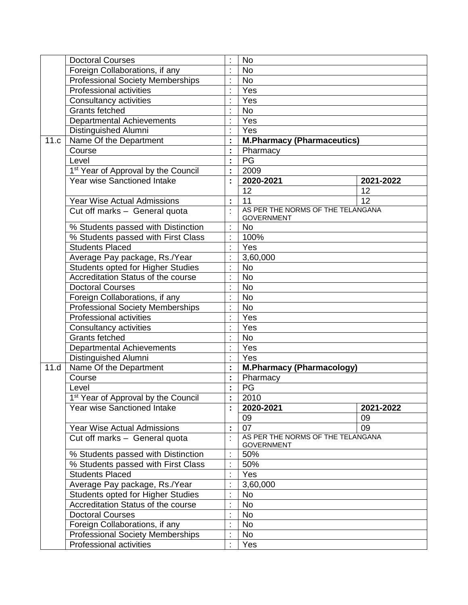|      | <b>Doctoral Courses</b>                         |                | <b>No</b>                         |                 |
|------|-------------------------------------------------|----------------|-----------------------------------|-----------------|
|      | Foreign Collaborations, if any                  |                | <b>No</b>                         |                 |
|      | <b>Professional Society Memberships</b>         |                | <b>No</b>                         |                 |
|      | <b>Professional activities</b>                  |                | Yes                               |                 |
|      | Consultancy activities                          |                | Yes                               |                 |
|      | <b>Grants fetched</b>                           |                | <b>No</b>                         |                 |
|      | <b>Departmental Achievements</b>                |                | Yes                               |                 |
|      | Distinguished Alumni                            |                | Yes                               |                 |
| 11.c | Name Of the Department                          | ċ,             | <b>M.Pharmacy (Pharmaceutics)</b> |                 |
|      | Course                                          |                | Pharmacy                          |                 |
|      | Level                                           |                | PG                                |                 |
|      | 1 <sup>st</sup> Year of Approval by the Council |                | 2009                              |                 |
|      | Year wise Sanctioned Intake                     |                | 2020-2021                         | 2021-2022       |
|      |                                                 |                | 12                                | 12              |
|      | <b>Year Wise Actual Admissions</b>              | ċ,             | $\overline{11}$                   | $\overline{12}$ |
|      |                                                 |                | AS PER THE NORMS OF THE TELANGANA |                 |
|      | Cut off marks - General quota                   |                | <b>GOVERNMENT</b>                 |                 |
|      | % Students passed with Distinction              |                | <b>No</b>                         |                 |
|      | % Students passed with First Class              |                | 100%                              |                 |
|      | <b>Students Placed</b>                          |                | Yes                               |                 |
|      | Average Pay package, Rs./Year                   |                | 3,60,000                          |                 |
|      | Students opted for Higher Studies               |                | <b>No</b>                         |                 |
|      | Accreditation Status of the course              |                | <b>No</b>                         |                 |
|      | <b>Doctoral Courses</b>                         | $\blacksquare$ | <b>No</b>                         |                 |
|      | Foreign Collaborations, if any                  | t              | <b>No</b>                         |                 |
|      | <b>Professional Society Memberships</b>         |                | <b>No</b>                         |                 |
|      | <b>Professional activities</b>                  |                | Yes                               |                 |
|      | Consultancy activities                          |                | Yes                               |                 |
|      | <b>Grants fetched</b>                           |                | <b>No</b>                         |                 |
|      | <b>Departmental Achievements</b>                | $\blacksquare$ | Yes                               |                 |
|      | <b>Distinguished Alumni</b>                     |                | Yes                               |                 |
| 11.d | Name Of the Department                          |                | <b>M.Pharmacy (Pharmacology)</b>  |                 |
|      | Course                                          |                | Pharmacy                          |                 |
|      | Level                                           |                | PG                                |                 |
|      | 1 <sup>st</sup> Year of Approval by the Council |                | 2010                              |                 |
|      | Year wise Sanctioned Intake                     |                | 2020-2021                         | 2021-2022       |
|      |                                                 |                | 09                                | 09              |
|      | <b>Year Wise Actual Admissions</b>              |                | 07                                | 09              |
|      | Cut off marks - General quota                   |                | AS PER THE NORMS OF THE TELANGANA |                 |
|      |                                                 |                | <b>GOVERNMENT</b>                 |                 |
|      | % Students passed with Distinction              |                | 50%                               |                 |
|      | % Students passed with First Class              |                | 50%                               |                 |
|      | <b>Students Placed</b>                          |                | Yes                               |                 |
|      | Average Pay package, Rs./Year                   |                | 3,60,000                          |                 |
|      | <b>Students opted for Higher Studies</b>        |                | <b>No</b>                         |                 |
|      | Accreditation Status of the course              |                | No                                |                 |
|      | <b>Doctoral Courses</b>                         |                | No                                |                 |
|      | Foreign Collaborations, if any                  |                | No                                |                 |
|      | <b>Professional Society Memberships</b>         |                | <b>No</b>                         |                 |
|      | Professional activities                         |                | Yes                               |                 |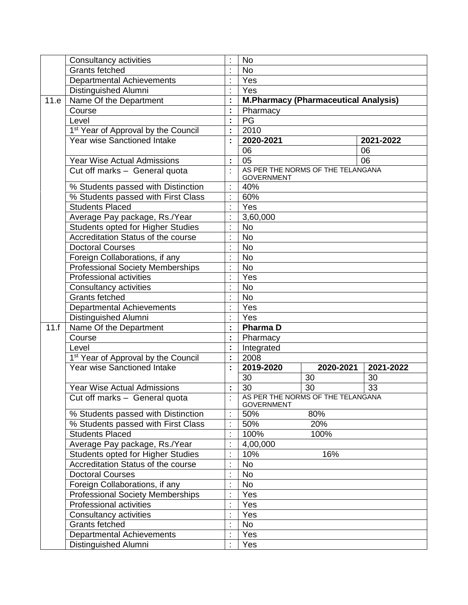|      | Consultancy activities                                       |                | <b>No</b>                                   |            |           |
|------|--------------------------------------------------------------|----------------|---------------------------------------------|------------|-----------|
|      | <b>Grants fetched</b>                                        |                | <b>No</b>                                   |            |           |
|      | Departmental Achievements                                    |                | Yes                                         |            |           |
|      | Distinguished Alumni                                         |                | Yes                                         |            |           |
| 11.e | Name Of the Department                                       | ÷,             | <b>M.Pharmacy (Pharmaceutical Analysis)</b> |            |           |
|      | Course                                                       |                | Pharmacy                                    |            |           |
|      | Level                                                        | ř,             | PG                                          |            |           |
|      | 1 <sup>st</sup> Year of Approval by the Council              | t              | 2010                                        |            |           |
|      | Year wise Sanctioned Intake                                  | ċ.             | 2020-2021                                   |            | 2021-2022 |
|      |                                                              |                | 06                                          |            | 06        |
|      | <b>Year Wise Actual Admissions</b>                           |                | $\overline{05}$                             |            | 06        |
|      | Cut off marks - General quota                                |                | AS PER THE NORMS OF THE TELANGANA           |            |           |
|      |                                                              |                | <b>GOVERNMENT</b>                           |            |           |
|      | % Students passed with Distinction                           |                | 40%                                         |            |           |
|      | % Students passed with First Class                           |                | 60%                                         |            |           |
|      | Students Placed                                              |                | Yes                                         |            |           |
|      | Average Pay package, Rs. Year                                |                | 3,60,000                                    |            |           |
|      | Students opted for Higher Studies                            |                | <b>No</b>                                   |            |           |
|      | Accreditation Status of the course                           | ÷,             | <b>No</b>                                   |            |           |
|      | <b>Doctoral Courses</b>                                      | $\blacksquare$ | <b>No</b>                                   |            |           |
|      | Foreign Collaborations, if any                               |                | <b>No</b>                                   |            |           |
|      | <b>Professional Society Memberships</b>                      | ÷              | <b>No</b>                                   |            |           |
|      | Professional activities                                      |                | Yes                                         |            |           |
|      | Consultancy activities                                       |                | <b>No</b>                                   |            |           |
|      | <b>Grants fetched</b>                                        | $\blacksquare$ | <b>No</b>                                   |            |           |
|      | <b>Departmental Achievements</b>                             |                | Yes                                         |            |           |
|      | Distinguished Alumni                                         |                | Yes                                         |            |           |
| 11.f | Name Of the Department                                       |                | <b>PharmaD</b>                              |            |           |
|      | Course                                                       | ċ,             | Pharmacy                                    |            |           |
|      | Level                                                        | $\blacksquare$ | Integrated                                  |            |           |
|      | 1 <sup>st</sup> Year of Approval by the Council              |                | 2008                                        |            |           |
|      | <b>Year wise Sanctioned Intake</b>                           | ٠              | 2019-2020                                   | 2020-2021  | 2021-2022 |
|      |                                                              |                | 30                                          | 30         | 30        |
|      | <b>Year Wise Actual Admissions</b>                           | t,             | 30                                          | 30         | 33        |
|      | Cut off marks - General quota                                |                | AS PER THE NORMS OF THE TELANGANA           |            |           |
|      |                                                              |                | <b>GOVERNMENT</b>                           |            |           |
|      | % Students passed with Distinction                           |                | 50%                                         | 80%<br>20% |           |
|      | % Students passed with First Class<br><b>Students Placed</b> |                | 50%<br>100%                                 |            |           |
|      |                                                              |                |                                             | 100%       |           |
|      | Average Pay package, Rs./Year                                |                | 4,00,000                                    |            |           |
|      | <b>Students opted for Higher Studies</b>                     |                | 10%                                         | 16%        |           |
|      | Accreditation Status of the course                           |                | No                                          |            |           |
|      | <b>Doctoral Courses</b>                                      |                | No                                          |            |           |
|      | Foreign Collaborations, if any                               |                | <b>No</b>                                   |            |           |
|      | <b>Professional Society Memberships</b>                      |                | Yes                                         |            |           |
|      | Professional activities                                      |                | Yes                                         |            |           |
|      | Consultancy activities                                       |                | Yes                                         |            |           |
|      | Grants fetched                                               |                | <b>No</b>                                   |            |           |
|      | <b>Departmental Achievements</b>                             |                | Yes                                         |            |           |
|      | Distinguished Alumni                                         | $\blacksquare$ | Yes                                         |            |           |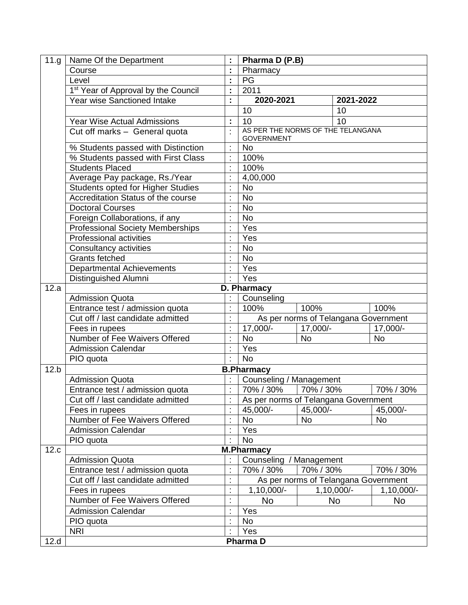| 11.g | Name Of the Department                          |                      | Pharma D (P.B)          |                                      |            |
|------|-------------------------------------------------|----------------------|-------------------------|--------------------------------------|------------|
|      | Course                                          | t                    | Pharmacy                |                                      |            |
|      | Level                                           | t                    | PG                      |                                      |            |
|      | 1 <sup>st</sup> Year of Approval by the Council | t                    | 2011                    |                                      |            |
|      | Year wise Sanctioned Intake                     | t                    | 2020-2021               | 2021-2022                            |            |
|      |                                                 |                      | 10                      | 10                                   |            |
|      | <b>Year Wise Actual Admissions</b>              | t                    | 10                      | 10                                   |            |
|      | Cut off marks - General quota                   | t                    |                         | AS PER THE NORMS OF THE TELANGANA    |            |
|      |                                                 |                      | <b>GOVERNMENT</b>       |                                      |            |
|      | % Students passed with Distinction              | t                    | <b>No</b>               |                                      |            |
|      | % Students passed with First Class              | t                    | 100%                    |                                      |            |
|      | <b>Students Placed</b>                          | t                    | 100%                    |                                      |            |
|      | Average Pay package, Rs./Year                   | ċ                    | 4,00,000                |                                      |            |
|      | Students opted for Higher Studies               | ŀ                    | <b>No</b>               |                                      |            |
|      | Accreditation Status of the course              | ċ                    | <b>No</b>               |                                      |            |
|      | <b>Doctoral Courses</b>                         | ŀ                    | <b>No</b>               |                                      |            |
|      | Foreign Collaborations, if any                  | $\blacksquare$       | <b>No</b>               |                                      |            |
|      | <b>Professional Society Memberships</b>         | ċ                    | Yes                     |                                      |            |
|      | <b>Professional activities</b>                  | $\ddot{\cdot}$       | Yes                     |                                      |            |
|      | Consultancy activities                          | ċ                    | <b>No</b>               |                                      |            |
|      | <b>Grants fetched</b>                           | $\ddot{\phantom{a}}$ | <b>No</b>               |                                      |            |
|      | Departmental Achievements                       | $\ddot{\phantom{a}}$ | Yes                     |                                      |            |
|      | Distinguished Alumni                            | ÷                    | Yes                     |                                      |            |
| 12.a |                                                 |                      | D. Pharmacy             |                                      |            |
|      | <b>Admission Quota</b>                          |                      | Counseling              |                                      |            |
|      | Entrance test / admission quota                 | t                    | 100%                    | 100%                                 | 100%       |
|      | Cut off / last candidate admitted               | t                    |                         | As per norms of Telangana Government |            |
|      | Fees in rupees                                  | ċ                    | 17,000/-                | 17,000/-                             | 17,000/-   |
|      | Number of Fee Waivers Offered                   | ċ                    | <b>No</b>               | <b>No</b>                            | <b>No</b>  |
|      | <b>Admission Calendar</b>                       | $\ddot{\phantom{a}}$ | Yes                     |                                      |            |
|      | PIO quota                                       | $\ddot{\cdot}$       | <b>No</b>               |                                      |            |
| 12.b |                                                 |                      | <b>B.Pharmacy</b>       |                                      |            |
|      | <b>Admission Quota</b>                          |                      | Counseling / Management |                                      |            |
|      | Entrance test / admission quota                 | ċ                    | 70% / 30%               | 70% / 30%                            | 70% / 30%  |
|      | Cut off / last candidate admitted               |                      |                         | As per norms of Telangana Government |            |
|      | Fees in rupees                                  |                      | 45,000/-                | 45,000/-                             | 45,000/-   |
|      | Number of Fee Waivers Offered                   | $\ddot{\cdot}$       | <b>No</b>               | <b>No</b>                            | <b>No</b>  |
|      | <b>Admission Calendar</b>                       | $\blacksquare$       | Yes                     |                                      |            |
|      | PIO quota                                       | $\cdot$              | <b>No</b>               |                                      |            |
| 12.c |                                                 |                      | <b>M.Pharmacy</b>       |                                      |            |
|      | <b>Admission Quota</b>                          |                      | Counseling / Management |                                      |            |
|      | Entrance test / admission quota                 | $\ddot{\cdot}$       | 70% / 30%               | 70% / 30%                            | 70% / 30%  |
|      | Cut off / last candidate admitted               | $\ddot{\cdot}$       |                         | As per norms of Telangana Government |            |
|      | Fees in rupees                                  | Ì                    | 1,10,000/-              | 1,10,000/-                           | 1,10,000/- |
|      | Number of Fee Waivers Offered                   | t                    | <b>No</b>               | <b>No</b>                            | <b>No</b>  |
|      | Admission Calendar                              | $\cdot$              | Yes                     |                                      |            |
|      | PIO quota                                       | t                    | <b>No</b>               |                                      |            |
|      | <b>NRI</b>                                      | t                    | Yes                     |                                      |            |
| 12.d |                                                 |                      | Pharma D                |                                      |            |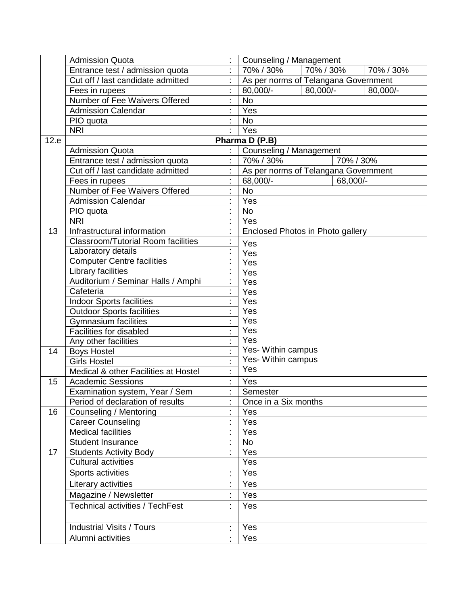|      | <b>Admission Quota</b>                    |                | Counseling / Management              |           |           |           |
|------|-------------------------------------------|----------------|--------------------------------------|-----------|-----------|-----------|
|      | Entrance test / admission quota           |                | 70% / 30%                            | 70% / 30% |           | 70% / 30% |
|      | Cut off / last candidate admitted         |                | As per norms of Telangana Government |           |           |           |
|      | Fees in rupees                            |                | 80,000/-                             | 80,000/-  |           | 80,000/-  |
|      | Number of Fee Waivers Offered             |                | <b>No</b>                            |           |           |           |
|      | <b>Admission Calendar</b>                 |                | Yes                                  |           |           |           |
|      | PIO quota                                 | $\blacksquare$ | <b>No</b>                            |           |           |           |
|      | <b>NRI</b>                                |                | Yes                                  |           |           |           |
| 12.e |                                           |                | Pharma D (P.B)                       |           |           |           |
|      | <b>Admission Quota</b>                    |                | Counseling / Management              |           |           |           |
|      | Entrance test / admission quota           |                | 70% / 30%                            |           | 70% / 30% |           |
|      | Cut off / last candidate admitted         |                | As per norms of Telangana Government |           |           |           |
|      | Fees in rupees                            |                | 68,000/-                             |           | 68,000/-  |           |
|      | Number of Fee Waivers Offered             | t              | <b>No</b>                            |           |           |           |
|      | <b>Admission Calendar</b>                 |                | Yes                                  |           |           |           |
|      | PIO quota                                 |                | <b>No</b>                            |           |           |           |
|      | <b>NRI</b>                                |                | Yes                                  |           |           |           |
| 13   | Infrastructural information               |                | Enclosed Photos in Photo gallery     |           |           |           |
|      | <b>Classroom/Tutorial Room facilities</b> |                | Yes                                  |           |           |           |
|      | Laboratory details                        |                | Yes                                  |           |           |           |
|      | <b>Computer Centre facilities</b>         |                | Yes                                  |           |           |           |
|      | Library facilities                        |                | Yes                                  |           |           |           |
|      | Auditorium / Seminar Halls / Amphi        |                | Yes                                  |           |           |           |
|      | Cafeteria                                 | $\blacksquare$ | Yes                                  |           |           |           |
|      | <b>Indoor Sports facilities</b>           | ċ              | Yes                                  |           |           |           |
|      | <b>Outdoor Sports facilities</b>          |                | Yes                                  |           |           |           |
|      | Gymnasium facilities                      |                | Yes                                  |           |           |           |
|      | Facilities for disabled                   | $\blacksquare$ | Yes                                  |           |           |           |
|      | Any other facilities                      | $\cdot$        | Yes                                  |           |           |           |
| 14   | <b>Boys Hostel</b>                        | ł.             | Yes- Within campus                   |           |           |           |
|      | <b>Girls Hostel</b>                       | ł,             | Yes- Within campus                   |           |           |           |
|      | Medical & other Facilities at Hostel      | $\blacksquare$ | Yes                                  |           |           |           |
| 15   | <b>Academic Sessions</b>                  |                | Yes                                  |           |           |           |
|      | Examination system, Year / Sem            |                | Semester                             |           |           |           |
|      | Period of declaration of results          |                | Once in a Six months                 |           |           |           |
| 16   | Counseling / Mentoring                    |                | Yes                                  |           |           |           |
|      | <b>Career Counseling</b>                  |                | Yes                                  |           |           |           |
|      | <b>Medical facilities</b>                 |                | Yes                                  |           |           |           |
|      | <b>Student Insurance</b>                  |                | <b>No</b>                            |           |           |           |
| 17   | <b>Students Activity Body</b>             |                | Yes                                  |           |           |           |
|      | <b>Cultural activities</b>                |                | Yes                                  |           |           |           |
|      | Sports activities                         |                | Yes                                  |           |           |           |
|      | Literary activities                       | $\bullet$      | Yes                                  |           |           |           |
|      | Magazine / Newsletter                     |                | Yes                                  |           |           |           |
|      | <b>Technical activities / TechFest</b>    | ÷              | Yes                                  |           |           |           |
|      |                                           |                |                                      |           |           |           |
|      | <b>Industrial Visits / Tours</b>          |                | Yes                                  |           |           |           |
|      | Alumni activities                         |                | Yes                                  |           |           |           |